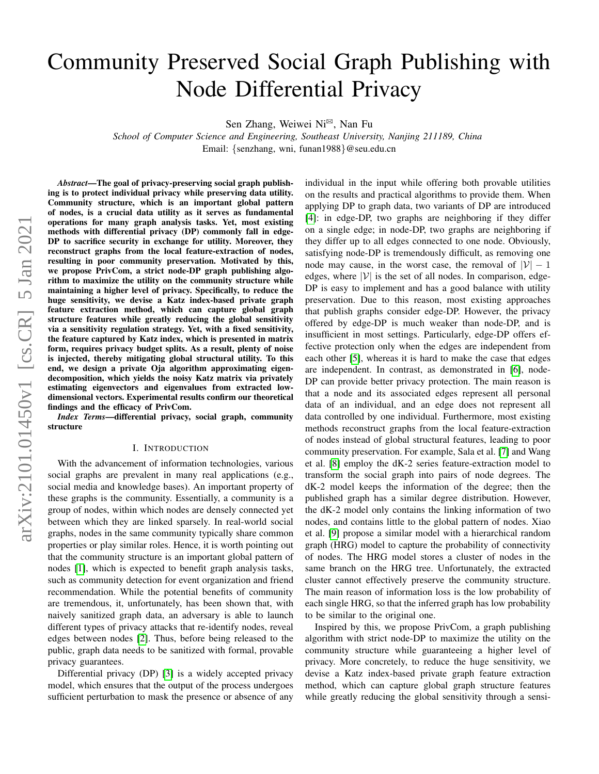# Community Preserved Social Graph Publishing with Node Differential Privacy

Sen Zhang, Weiwei Ni<sup>⊠</sup>, Nan Fu

*School of Computer Science and Engineering, Southeast University, Nanjing 211189, China* Email: {senzhang, wni, funan1988}@seu.edu.cn

*Abstract*—The goal of privacy-preserving social graph publishing is to protect individual privacy while preserving data utility. Community structure, which is an important global pattern of nodes, is a crucial data utility as it serves as fundamental operations for many graph analysis tasks. Yet, most existing methods with differential privacy (DP) commonly fall in edge-DP to sacrifice security in exchange for utility. Moreover, they reconstruct graphs from the local feature-extraction of nodes, resulting in poor community preservation. Motivated by this, we propose PrivCom, a strict node-DP graph publishing algorithm to maximize the utility on the community structure while maintaining a higher level of privacy. Specifically, to reduce the huge sensitivity, we devise a Katz index-based private graph feature extraction method, which can capture global graph structure features while greatly reducing the global sensitivity via a sensitivity regulation strategy. Yet, with a fixed sensitivity, the feature captured by Katz index, which is presented in matrix form, requires privacy budget splits. As a result, plenty of noise is injected, thereby mitigating global structural utility. To this end, we design a private Oja algorithm approximating eigendecomposition, which yields the noisy Katz matrix via privately estimating eigenvectors and eigenvalues from extracted lowdimensional vectors. Experimental results confirm our theoretical findings and the efficacy of PrivCom.

*Index Terms*—differential privacy, social graph, community structure

#### I. INTRODUCTION

With the advancement of information technologies, various social graphs are prevalent in many real applications (e.g., social media and knowledge bases). An important property of these graphs is the community. Essentially, a community is a group of nodes, within which nodes are densely connected yet between which they are linked sparsely. In real-world social graphs, nodes in the same community typically share common properties or play similar roles. Hence, it is worth pointing out that the community structure is an important global pattern of nodes [\[1\]](#page-5-0), which is expected to benefit graph analysis tasks, such as community detection for event organization and friend recommendation. While the potential benefits of community are tremendous, it, unfortunately, has been shown that, with naively sanitized graph data, an adversary is able to launch different types of privacy attacks that re-identify nodes, reveal edges between nodes [\[2\]](#page-5-1). Thus, before being released to the public, graph data needs to be sanitized with formal, provable privacy guarantees.

Differential privacy (DP) [\[3\]](#page-5-2) is a widely accepted privacy model, which ensures that the output of the process undergoes sufficient perturbation to mask the presence or absence of any

individual in the input while offering both provable utilities on the results and practical algorithms to provide them. When applying DP to graph data, two variants of DP are introduced [\[4\]](#page-5-3): in edge-DP, two graphs are neighboring if they differ on a single edge; in node-DP, two graphs are neighboring if they differ up to all edges connected to one node. Obviously, satisfying node-DP is tremendously difficult, as removing one node may cause, in the worst case, the removal of  $|\mathcal{V}| - 1$ edges, where  $|\mathcal{V}|$  is the set of all nodes. In comparison, edge-DP is easy to implement and has a good balance with utility preservation. Due to this reason, most existing approaches that publish graphs consider edge-DP. However, the privacy offered by edge-DP is much weaker than node-DP, and is insufficient in most settings. Particularly, edge-DP offers effective protection only when the edges are independent from each other [\[5\]](#page-5-4), whereas it is hard to make the case that edges are independent. In contrast, as demonstrated in [\[6\]](#page-5-5), node-DP can provide better privacy protection. The main reason is that a node and its associated edges represent all personal data of an individual, and an edge does not represent all data controlled by one individual. Furthermore, most existing methods reconstruct graphs from the local feature-extraction of nodes instead of global structural features, leading to poor community preservation. For example, Sala et al. [\[7\]](#page-5-6) and Wang et al. [\[8\]](#page-5-7) employ the dK-2 series feature-extraction model to transform the social graph into pairs of node degrees. The dK-2 model keeps the information of the degree; then the published graph has a similar degree distribution. However, the dK-2 model only contains the linking information of two nodes, and contains little to the global pattern of nodes. Xiao et al. [\[9\]](#page-5-8) propose a similar model with a hierarchical random graph (HRG) model to capture the probability of connectivity of nodes. The HRG model stores a cluster of nodes in the same branch on the HRG tree. Unfortunately, the extracted cluster cannot effectively preserve the community structure. The main reason of information loss is the low probability of each single HRG, so that the inferred graph has low probability to be similar to the original one.

Inspired by this, we propose PrivCom, a graph publishing algorithm with strict node-DP to maximize the utility on the community structure while guaranteeing a higher level of privacy. More concretely, to reduce the huge sensitivity, we devise a Katz index-based private graph feature extraction method, which can capture global graph structure features while greatly reducing the global sensitivity through a sensi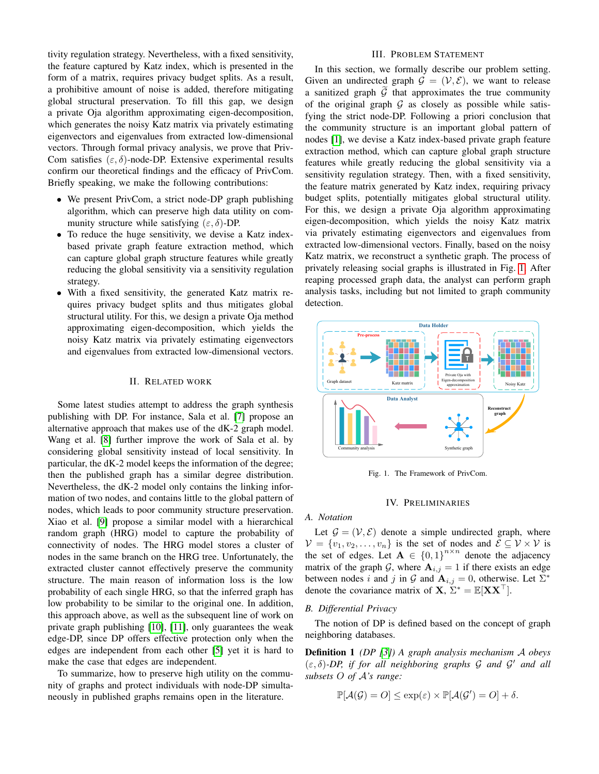tivity regulation strategy. Nevertheless, with a fixed sensitivity, the feature captured by Katz index, which is presented in the form of a matrix, requires privacy budget splits. As a result, a prohibitive amount of noise is added, therefore mitigating global structural preservation. To fill this gap, we design a private Oja algorithm approximating eigen-decomposition, which generates the noisy Katz matrix via privately estimating eigenvectors and eigenvalues from extracted low-dimensional vectors. Through formal privacy analysis, we prove that Priv-Com satisfies  $(\varepsilon, \delta)$ -node-DP. Extensive experimental results confirm our theoretical findings and the efficacy of PrivCom. Briefly speaking, we make the following contributions:

- We present PrivCom, a strict node-DP graph publishing algorithm, which can preserve high data utility on community structure while satisfying  $(\varepsilon, \delta)$ -DP.
- To reduce the huge sensitivity, we devise a Katz indexbased private graph feature extraction method, which can capture global graph structure features while greatly reducing the global sensitivity via a sensitivity regulation strategy.
- With a fixed sensitivity, the generated Katz matrix requires privacy budget splits and thus mitigates global structural utility. For this, we design a private Oja method approximating eigen-decomposition, which yields the noisy Katz matrix via privately estimating eigenvectors and eigenvalues from extracted low-dimensional vectors.

### II. RELATED WORK

Some latest studies attempt to address the graph synthesis publishing with DP. For instance, Sala et al. [\[7\]](#page-5-6) propose an alternative approach that makes use of the dK-2 graph model. Wang et al. [\[8\]](#page-5-7) further improve the work of Sala et al. by considering global sensitivity instead of local sensitivity. In particular, the dK-2 model keeps the information of the degree; then the published graph has a similar degree distribution. Nevertheless, the dK-2 model only contains the linking information of two nodes, and contains little to the global pattern of nodes, which leads to poor community structure preservation. Xiao et al. [\[9\]](#page-5-8) propose a similar model with a hierarchical random graph (HRG) model to capture the probability of connectivity of nodes. The HRG model stores a cluster of nodes in the same branch on the HRG tree. Unfortunately, the extracted cluster cannot effectively preserve the community structure. The main reason of information loss is the low probability of each single HRG, so that the inferred graph has low probability to be similar to the original one. In addition, this approach above, as well as the subsequent line of work on private graph publishing [\[10\]](#page-5-9), [\[11\]](#page-5-10), only guarantees the weak edge-DP, since DP offers effective protection only when the edges are independent from each other [\[5\]](#page-5-4) yet it is hard to make the case that edges are independent.

To summarize, how to preserve high utility on the community of graphs and protect individuals with node-DP simultaneously in published graphs remains open in the literature.

## III. PROBLEM STATEMENT

In this section, we formally describe our problem setting. Given an undirected graph  $\mathcal{G} = (\mathcal{V}, \mathcal{E})$ , we want to release a sanitized graph  $G$  that approximates the true community of the original graph  $G$  as closely as possible while satisfying the strict node-DP. Following a priori conclusion that the community structure is an important global pattern of nodes [\[1\]](#page-5-0), we devise a Katz index-based private graph feature extraction method, which can capture global graph structure features while greatly reducing the global sensitivity via a sensitivity regulation strategy. Then, with a fixed sensitivity, the feature matrix generated by Katz index, requiring privacy budget splits, potentially mitigates global structural utility. For this, we design a private Oja algorithm approximating eigen-decomposition, which yields the noisy Katz matrix via privately estimating eigenvectors and eigenvalues from extracted low-dimensional vectors. Finally, based on the noisy Katz matrix, we reconstruct a synthetic graph. The process of privately releasing social graphs is illustrated in Fig. [1.](#page-1-0) After reaping processed graph data, the analyst can perform graph analysis tasks, including but not limited to graph community detection.



<span id="page-1-0"></span>Fig. 1. The Framework of PrivCom.

#### IV. PRELIMINARIES

#### *A. Notation*

Let  $\mathcal{G} = (\mathcal{V}, \mathcal{E})$  denote a simple undirected graph, where  $\mathcal{V} = \{v_1, v_2, \dots, v_n\}$  is the set of nodes and  $\mathcal{E} \subseteq \mathcal{V} \times \mathcal{V}$  is the set of edges. Let  $A \in \{0,1\}^{n \times n}$  denote the adjacency matrix of the graph G, where  $A_{i,j} = 1$  if there exists an edge between nodes i and j in G and  $A_{i,j} = 0$ , otherwise. Let  $\Sigma^*$ denote the covariance matrix of  $X, \Sigma^* = \mathbb{E}[XX^\top]$ .

#### *B. Differential Privacy*

The notion of DP is defined based on the concept of graph neighboring databases.

Definition 1 *(DP [\[3\]](#page-5-2)) A graph analysis mechanism* A *obeys* (ε, δ)*-DP, if for all neighboring graphs* G *and* G <sup>0</sup> *and all subsets* O *of* A*'s range:*

$$
\mathbb{P}[\mathcal{A}(\mathcal{G})=O] \leq \exp(\varepsilon) \times \mathbb{P}[\mathcal{A}(\mathcal{G}')=O] + \delta.
$$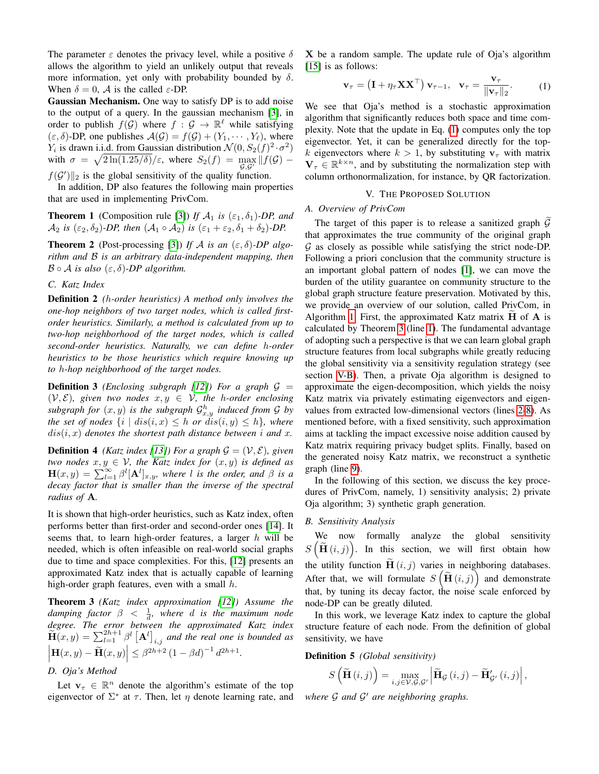The parameter  $\varepsilon$  denotes the privacy level, while a positive  $\delta$ allows the algorithm to yield an unlikely output that reveals more information, yet only with probability bounded by  $\delta$ . When  $\delta = 0$ , A is the called  $\varepsilon$ -DP.

Gaussian Mechanism. One way to satisfy DP is to add noise to the output of a query. In the gaussian mechanism [\[3\]](#page-5-2), in order to publish  $f(\mathcal{G})$  where  $f : \mathcal{G} \to \mathbb{R}^{\ell}$  while satisfying  $(\varepsilon, \delta)$ -DP, one publishes  $\mathcal{A}(\mathcal{G}) = f(\mathcal{G}) + (Y_1, \cdots, Y_\ell)$ , where  $Y_i$  is drawn i.i.d. from Gaussian distribution  $\mathcal{N}(0, S_2(f)^2 \cdot \sigma^2)$ with  $\sigma = \sqrt{2\ln(1.25/\delta)}/\varepsilon$ , where  $S_2(f) = \max_{\mathcal{G},\mathcal{G}'} ||f(\mathcal{G}) - f(\mathcal{G})||$ 

 $f(G')$  is the global sensitivity of the quality function.

In addition, DP also features the following main properties that are used in implementing PrivCom.

**Theorem 1** (Composition rule [\[3\]](#page-5-2)) *If*  $A_1$  *is* ( $\varepsilon_1$ ,  $\delta_1$ )*-DP*, and  $\mathcal{A}_2$  *is* ( $\varepsilon_2$ ,  $\delta_2$ )*-DP*, *then*  $(\mathcal{A}_1 \circ \mathcal{A}_2)$  *is* ( $\varepsilon_1 + \varepsilon_2$ ,  $\delta_1 + \delta_2$ )*-DP*.

**Theorem 2** (Post-processing [\[3\]](#page-5-2)) If A is an  $(\varepsilon, \delta)$ -DP algo*rithm and* B *is an arbitrary data-independent mapping, then*  $\mathcal{B} \circ \mathcal{A}$  *is also*  $(\varepsilon, \delta)$ -*DP algorithm.* 

## *C. Katz Index*

Definition 2 *(*h*-order heuristics) A method only involves the one-hop neighbors of two target nodes, which is called firstorder heuristics. Similarly, a method is calculated from up to two-hop neighborhood of the target nodes, which is called second-order heuristics. Naturally, we can define* h*-order heuristics to be those heuristics which require knowing up to* h*-hop neighborhood of the target nodes.*

**Definition 3** *(Enclosing subgraph [\[12\]](#page-5-11))* For a graph  $G =$  $(V, \mathcal{E})$ *, given two nodes*  $x, y \in V$ *, the h-order enclosing* subgraph for  $(x, y)$  is the subgraph  $\mathcal{G}^h_{x,y}$  induced from  $\mathcal G$  by *the set of nodes*  $\{i \mid dis(i, x) \leq h \text{ or } dis(i, y) \leq h\}$ *, where*  $dis(i, x)$  denotes the shortest path distance between i and x.

**Definition 4** *(Katz index [\[13\]](#page-5-12)) For a graph*  $G = (V, E)$ *, given two nodes*  $x, y \in V$ *, the Katz index for*  $(x, y)$  *is defined as*  $\mathbf{H}(x,y) = \sum_{l=1}^{\infty} \beta^l [\mathbf{A}^l]_{x,y}$ , where l is the order, and  $\beta$  is a *decay factor that is smaller than the inverse of the spectral radius of* A*.*

It is shown that high-order heuristics, such as Katz index, often performs better than first-order and second-order ones [\[14\]](#page-5-13). It seems that, to learn high-order features, a larger  $h$  will be needed, which is often infeasible on real-world social graphs due to time and space complexities. For this, [\[12\]](#page-5-11) presents an approximated Katz index that is actually capable of learning high-order graph features, even with a small  $h$ .

Theorem 3 *(Katz index approximation [\[12\]](#page-5-11)) Assume the*  $damping factor \, \beta \, < \, \frac{1}{d}$ , where  $d$  is the maximum node *degree. The error between the approximated Katz index*  $\widetilde{H}(x,y) = \sum_{l=1}^{2h+1} \beta^l \left[ A^l \right]_{i,j}$  and the real one is bounded as  $\left| \mathbf{H}(x,y) - \widetilde{\mathbf{H}}(x,y) \right| \leq \beta^{2h+2} (1 - \beta d)^{-1} d^{2h+1}.$ 

## *D. Oja's Method*

Let  $\mathbf{v}_{\tau} \in \mathbb{R}^n$  denote the algorithm's estimate of the top eigenvector of  $\Sigma^*$  at  $\tau$ . Then, let  $\eta$  denote learning rate, and

X be a random sample. The update rule of Oja's algorithm [\[15\]](#page-5-14) is as follows:

$$
\mathbf{v}_{\tau} = \left(\mathbf{I} + \eta_{\tau} \mathbf{X} \mathbf{X}^{\top}\right) \mathbf{v}_{\tau-1}, \quad \mathbf{v}_{\tau} = \frac{\mathbf{v}_{\tau}}{\|\mathbf{v}_{\tau}\|_{2}}.
$$
 (1)

<span id="page-2-0"></span>We see that Oja's method is a stochastic approximation algorithm that significantly reduces both space and time complexity. Note that the update in Eq. [\(1\)](#page-2-0) computes only the top eigenvector. Yet, it can be generalized directly for the topk eigenvectors where  $k > 1$ , by substituting  $v<sub>\tau</sub>$  with matrix  $\mathbf{V}_{\tau} \in \mathbb{R}^{k \times n}$ , and by substituting the normalization step with column orthonormalization, for instance, by QR factorization.

#### V. THE PROPOSED SOLUTION

## <span id="page-2-4"></span><span id="page-2-3"></span>*A. Overview of PrivCom*

The target of this paper is to release a sanitized graph  $G$ that approximates the true community of the original graph  $G$  as closely as possible while satisfying the strict node-DP. Following a priori conclusion that the community structure is an important global pattern of nodes [\[1\]](#page-5-0), we can move the burden of the utility guarantee on community structure to the global graph structure feature preservation. Motivated by this, we provide an overview of our solution, called PrivCom, in Algorithm [1.](#page-3-0) First, the approximated Katz matrix  $H$  of  $A$  is calculated by Theorem [3](#page-2-1) (line [1\)](#page-3-1). The fundamental advantage of adopting such a perspective is that we can learn global graph structure features from local subgraphs while greatly reducing the global sensitivity via a sensitivity regulation strategy (see section [V-B\)](#page-2-2). Then, a private Oja algorithm is designed to approximate the eigen-decomposition, which yields the noisy Katz matrix via privately estimating eigenvectors and eigenvalues from extracted low-dimensional vectors (lines [2-](#page-3-2)[8\)](#page-3-3). As mentioned before, with a fixed sensitivity, such approximation aims at tackling the impact excessive noise addition caused by Katz matrix requiring privacy budget splits. Finally, based on the generated noisy Katz matrix, we reconstruct a synthetic graph (line [9\)](#page-3-4).

In the following of this section, we discuss the key procedures of PrivCom, namely, 1) sensitivity analysis; 2) private Oja algorithm; 3) synthetic graph generation.

## <span id="page-2-2"></span>*B. Sensitivity Analysis*

We now formally analyze the global sensitivity  $S\left(\widetilde{\mathbf{H}}(i,j)\right)$ . In this section, we will first obtain how the utility function  $\tilde{\mathbf{H}}(i, j)$  varies in neighboring databases. After that, we will formulate  $S\left(\widetilde{\mathbf{H}}(i,j)\right)$  and demonstrate that, by tuning its decay factor, the noise scale enforced by node-DP can be greatly diluted.

<span id="page-2-1"></span>In this work, we leverage Katz index to capture the global structure feature of each node. From the definition of global sensitivity, we have

Definition 5 *(Global sensitivity)*

$$
S\left(\widetilde{\mathbf{H}}\left(i,j\right)\right) = \max_{i,j \in \mathcal{V}, \mathcal{G}, \mathcal{G}'} \left| \widetilde{\mathbf{H}}_{\mathcal{G}}\left(i,j\right) - \widetilde{\mathbf{H}}'_{\mathcal{G}'}\left(i,j\right) \right|,
$$

*where* G *and* G <sup>0</sup> *are neighboring graphs.*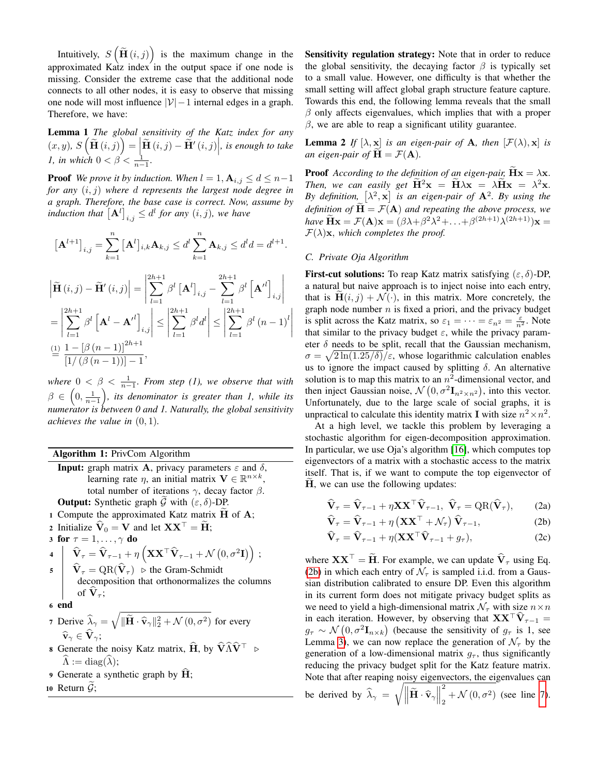Intuitively,  $S\left(\tilde{\mathbf{H}}(i,j)\right)$  is the maximum change in the approximated Katz index in the output space if one node is missing. Consider the extreme case that the additional node connects to all other nodes, it is easy to observe that missing one node will most influence  $|\mathcal{V}| - 1$  internal edges in a graph. Therefore, we have:

Lemma 1 *The global sensitivity of the Katz index for any*  $f(x, y), S\left(\widetilde{\mathbf{H}}(i, j)\right) = \left|\widetilde{\mathbf{H}}(i, j) - \widetilde{\mathbf{H}}'(i, j)\right|$ , is enough to take <br>*1, in which*  $0 < \beta < \frac{1}{n-1}$ .

**Proof** *We prove it by induction. When*  $l = 1, \mathbf{A}_{i,j} \leq d \leq n-1$ *for any* (i, j) *where* d *represents the largest node degree in a graph. Therefore, the base case is correct. Now, assume by induction that*  $[\mathbf{A}^l]_{i,j} \leq d^l$  for any  $(i, j)$ , we have

$$
\left[\mathbf{A}^{l+1}\right]_{i,j} = \sum_{k=1}^{n} \left[\mathbf{A}^{l}\right]_{i,k} \mathbf{A}_{k,j} \leq d^{l} \sum_{k=1}^{n} \mathbf{A}_{k,j} \leq d^{l} d = d^{l+1}.
$$

$$
\left| \tilde{\mathbf{H}}\left(i,j\right) - \tilde{\mathbf{H}}'\left(i,j\right) \right| = \left| \sum_{l=1}^{2h+1} \beta^l \left[ \mathbf{A}^l \right]_{i,j} - \sum_{l=1}^{2h+1} \beta^l \left[ \mathbf{A}^{\prime l} \right]_{i,j} \right|
$$
  
\n
$$
= \left| \sum_{l=1}^{2h+1} \beta^l \left[ \mathbf{A}^l - \mathbf{A}^{\prime l} \right]_{i,j} \right| \le \left| \sum_{l=1}^{2h+1} \beta^l d^l \right| \le \left| \sum_{l=1}^{2h+1} \beta^l \left( n - 1 \right)^l \right|
$$
  
\n
$$
\stackrel{\text{(1)}{=} \frac{1 - \left[ \beta \left( n - 1 \right) \right]^{2h+1}}{\left[ 1/ \left( \beta \left( n - 1 \right) \right) \right] - 1},
$$

where  $0 < \beta < \frac{1}{n-1}$ *. From step (1), we observe that with*  $\beta \,\in\, \left(0,\frac{1}{n-1}\right)$ , its denominator is greater than 1, while its *numerator is between 0 and 1. Naturally, the global sensitivity achieves the value in* (0, 1)*.*

Algorithm 1: PrivCom Algorithm

- <span id="page-3-0"></span>**Input:** graph matrix **A**, privacy parameters  $\varepsilon$  and  $\delta$ , learning rate  $\eta$ , an initial matrix  $\mathbf{V} \in \mathbb{R}^{n \times k}$ , total number of iterations  $\gamma$ , decay factor  $\beta$ . **Output:** Synthetic graph  $\tilde{\mathcal{G}}$  with  $(\varepsilon, \delta)$ -DP.
- <span id="page-3-1"></span>1 Compute the approximated Katz matrix  $\tilde{H}$  of  $A$ ;
- <span id="page-3-2"></span>2 Initialize  $\hat{\mathbf{V}}_0 = \mathbf{V}$  and let  $\mathbf{X}\mathbf{X}^\top = \tilde{\mathbf{H}}$ ;

3 for  $\tau = 1, \ldots, \gamma$  do

<span id="page-3-7"></span>4 
$$
\hat{\mathbf{V}}_{\tau} = \hat{\mathbf{V}}_{\tau-1} + \eta \left( \mathbf{X} \mathbf{X}^{\top} \hat{\mathbf{V}}_{\tau-1} + \mathcal{N} (0, \sigma^2 \mathbf{I}) \right);
$$
  
5  $\hat{\mathbf{V}}_{\tau} = \text{QR}(\hat{\mathbf{V}}_{\tau}) \triangleright \text{the Gram-Schmidt}$ 

- decomposition that orthonormalizes the columns of  $V_\tau$ ;
- <sup>6</sup> end

<span id="page-3-6"></span>7 Derive 
$$
\hat{\lambda}_{\gamma} = \sqrt{\|\tilde{\mathbf{H}} \cdot \hat{\mathbf{v}}_{\gamma}\|_2^2 + \mathcal{N}(0, \sigma^2)}
$$
 for every  $\hat{\mathbf{v}}_{\gamma} \in \hat{\mathbf{V}}_{\gamma}$ ;

- <span id="page-3-3"></span>8 Generate the noisy Katz matrix,  $\hat{H}$ , by  $\hat{V}\hat{\Lambda}\hat{V}^{\top} \geq$  $\widehat{\Lambda} := \mathrm{diag}(\widehat{\lambda});$
- <span id="page-3-4"></span>9 Generate a synthetic graph by  $H$ ;

10 Return  $\ddot{G}$ ;

Sensitivity regulation strategy: Note that in order to reduce the global sensitivity, the decaying factor  $\beta$  is typically set to a small value. However, one difficulty is that whether the small setting will affect global graph structure feature capture. Towards this end, the following lemma reveals that the small  $\beta$  only affects eigenvalues, which implies that with a proper  $β$ , we are able to reap a significant utility guarantee.

**Lemma 2** *If*  $[\lambda, \mathbf{x}]$  *is an eigen-pair of* **A***, then*  $[\mathcal{F}(\lambda), \mathbf{x}]$  *is an eigen-pair of*  $H = \mathcal{F}(A)$ *.* 

**Proof** *According to the definition of an eigen-pair,*  $Hx = \lambda x$ . *Then, we can easily get*  $\tilde{H}^2 x = \tilde{H} \lambda x = \lambda \tilde{H} x = \lambda^2 x$ . By definition,  $[\lambda^2, \mathbf{x}]$  is an eigen-pair of  $\mathbf{A}^2$ . By using the *definition of*  $\mathbf{H} = \mathcal{F}(\mathbf{A})$  *and repeating the above process, we* have  $\widetilde{\mathbf{H}}\mathbf{x} = \mathcal{F}(\mathbf{A})\mathbf{x} = (\beta \lambda + \beta^2 \lambda^2 + \ldots + \beta^{(2h+1)} \lambda^{(2h+1)})\mathbf{x} =$  $\mathcal{F}(\lambda)\mathbf{x}$ , which completes the proof.

## *C. Private Oja Algorithm*

**First-cut solutions:** To reap Katz matrix satisfying  $(\varepsilon, \delta)$ -DP, a natural but naive approach is to inject noise into each entry, that is  $H(i, j) + \mathcal{N}(\cdot)$ , in this matrix. More concretely, the graph node number  $n$  is fixed a priori, and the privacy budget is split across the Katz matrix, so  $\varepsilon_1 = \cdots = \varepsilon_{n^2} = \frac{\varepsilon}{n^2}$ . Note that similar to the privacy budget  $\varepsilon$ , while the privacy parameter  $\delta$  needs to be split, recall that the Gaussian mechanism,  $\sigma = \sqrt{2 \ln(1.25/\delta)}/\varepsilon$ , whose logarithmic calculation enables us to ignore the impact caused by splitting  $\delta$ . An alternative solution is to map this matrix to an  $n^2$ -dimensional vector, and then inject Gaussian noise,  $\mathcal{N}(0, \sigma^2 \mathbf{I}_{n^2 \times n^2})$ , into this vector. Unfortunately, due to the large scale of social graphs, it is unpractical to calculate this identity matrix **I** with size  $n^2 \times n^2$ .

At a high level, we tackle this problem by leveraging a stochastic algorithm for eigen-decomposition approximation. In particular, we use Oja's algorithm [\[16\]](#page-5-15), which computes top eigenvectors of a matrix with a stochastic access to the matrix itself. That is, if we want to compute the top eigenvector of H, we can use the following updates:

<span id="page-3-5"></span>
$$
\widehat{\mathbf{V}}_{\tau} = \widehat{\mathbf{V}}_{\tau-1} + \eta \mathbf{X} \mathbf{X}^{\top} \widehat{\mathbf{V}}_{\tau-1}, \ \widehat{\mathbf{V}}_{\tau} = \mathbf{Q} \mathbf{R}(\widehat{\mathbf{V}}_{\tau}), \qquad (2a)
$$

$$
\widehat{\mathbf{V}}_{\tau} = \widehat{\mathbf{V}}_{\tau-1} + \eta \left( \mathbf{X} \mathbf{X}^{\top} + \mathcal{N}_{\tau} \right) \widehat{\mathbf{V}}_{\tau-1},\tag{2b}
$$

$$
\widehat{\mathbf{V}}_{\tau} = \widehat{\mathbf{V}}_{\tau-1} + \eta (\mathbf{X} \mathbf{X}^{\top} \widehat{\mathbf{V}}_{\tau-1} + g_{\tau}), \tag{2c}
$$

where  $\mathbf{X} \mathbf{X}^{\top} = \widetilde{\mathbf{H}}$ . For example, we can update  $\widehat{\mathbf{V}}_{\tau}$  using Eq. [\(2b\)](#page-3-5) in which each entry of  $\mathcal{N}_{\tau}$  is sampled i.i.d. from a Gaussian distribution calibrated to ensure DP. Even this algorithm in its current form does not mitigate privacy budget splits as we need to yield a high-dimensional matrix  $\mathcal{N}_{\tau}$  with size  $n \times n$ in each iteration. However, by observing that  $\mathbf{X} \mathbf{X}^{\top} \hat{\mathbf{V}}_{\tau-1} =$  $g_{\tau} \sim \mathcal{N}(0, \sigma^2 \mathbf{I}_{n \times k})$  (because the sensitivity of  $g_{\tau}$  is 1, see Lemma [3\)](#page-4-0), we can now replace the generation of  $\mathcal{N}_{\tau}$  by the generation of a low-dimensional matrix  $g_{\tau}$ , thus significantly reducing the privacy budget split for the Katz feature matrix. Note that after reaping noisy eigenvectors, the eigenvalues can  $\sqrt{\parallel}$ Ш 2

be derived by 
$$
\hat{\lambda}_{\gamma} = \sqrt{\left\| \tilde{\mathbf{H}} \cdot \hat{\mathbf{v}}_{\gamma} \right\|_2^2 + \mathcal{N}(0, \sigma^2)}
$$
 (see line 7).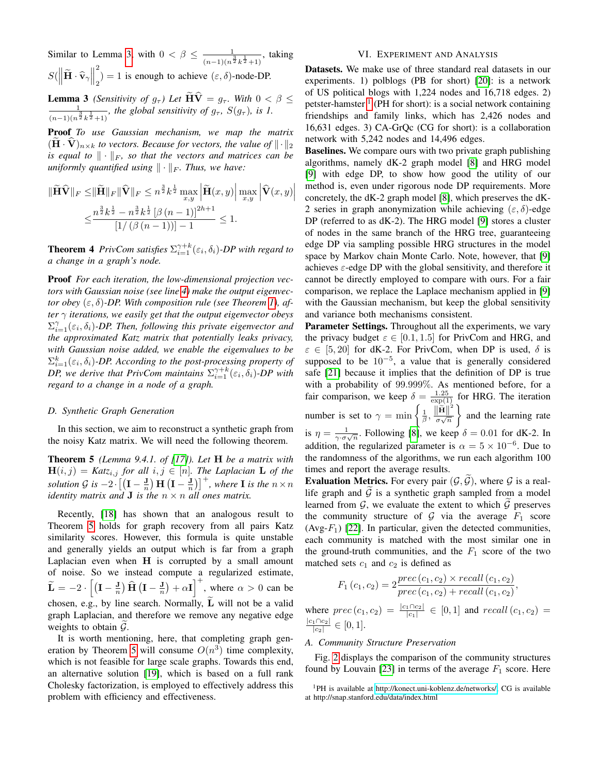Similar to Lemma [3,](#page-4-0) with  $0 < \beta \leq \frac{1}{\sqrt{1-\beta}}$  $\frac{1}{(n-1)(n^{\frac{3}{2}}k^{\frac{1}{2}}+1)}$ , taking  $S(\left\Vert \widetilde{\mathbf{H}}\cdot\widehat{\mathbf{v}}_{\gamma}\right\Vert)$ 2  $\binom{2}{2} = 1$  is enough to achieve  $(\varepsilon, \delta)$ -node-DP.

**Lemma 3** *(Sensitivity of g<sub>T</sub>) Let*  $HV = g_T$ *. With*  $0 < \beta \le$  $\frac{1}{(n-1)(n^{\frac{3}{2}}k^{\frac{1}{2}}+1)}$ *, the global sensitivity of g<sub>τ</sub>, S*(*g<sub>τ</sub>*)*, is 1.* 

Proof *To use Gaussian mechanism, we map the matrix*  $(\mathbf{H} \cdot \mathbf{V})_{n \times k}$  *to vectors. Because for vectors, the value of*  $\|\cdot\|_2$ *is equal to*  $\|\cdot\|_F$ , so that the vectors and matrices can be *uniformly quantified using*  $\|\cdot\|_F$ *. Thus, we have:* 

$$
\|\widetilde{\mathbf{H}}\widehat{\mathbf{V}}\|_{F} \leq \|\widetilde{\mathbf{H}}\|_{F} \|\widehat{\mathbf{V}}\|_{F} \leq n^{\frac{3}{2}} k^{\frac{1}{2}} \max_{x,y} \left| \widetilde{\mathbf{H}}(x,y) \right| \max_{x,y} \left| \widehat{\mathbf{V}}(x,y) \right|
$$
  

$$
\leq \frac{n^{\frac{3}{2}} k^{\frac{1}{2}} - n^{\frac{3}{2}} k^{\frac{1}{2}} \left[ \beta (n-1) \right]^{2h+1}}{[1/(\beta (n-1))] - 1} \leq 1.
$$

**Theorem 4** *PrivCom satisfies*  $\Sigma_{i=1}^{\gamma+k}(\varepsilon_i, \delta_i)$ *-DP with regard to a change in a graph's node.*

Proof *For each iteration, the low-dimensional projection vectors with Gaussian noise (see line [4\)](#page-3-7) make the output eigenvector obey* (ε, δ)*-DP. With composition rule (see Theorem [1\)](#page-2-3), after* γ *iterations, we easily get that the output eigenvector obeys*  $\Sigma_{i=1}^{\gamma}(\varepsilon_i,\delta_i)$ -DP. Then, following this private eigenvector and *the approximated Katz matrix that potentially leaks privacy, with Gaussian noise added, we enable the eigenvalues to be*  $\Sigma_{i=1}^k(\varepsilon_i, \delta_i)$ -DP. According to the post-processing property of *DP, we derive that PrivCom maintains*  $\Sigma_{i=1}^{\gamma+k}(\varepsilon_i, \delta_i)$ *-DP with regard to a change in a node of a graph.*

## *D. Synthetic Graph Generation*

In this section, we aim to reconstruct a synthetic graph from the noisy Katz matrix. We will need the following theorem.

Theorem 5 *(Lemma 9.4.1. of [\[17\]](#page-5-16)). Let* H *be a matrix with*  $\mathbf{H}(i, j) = \textit{Katz}_{i, j}$  for all  $i, j \in [n]$ . The Laplacian **L** of the *solution* G *is*  $-2 \cdot \left[ \left( I - \frac{J}{n} \right) H \left( I - \frac{J}{n} \right) \right]^{+}$ , where I *is the*  $n \times n$ *identity matrix and* **J** *is the*  $n \times n$  *all ones matrix.* 

Recently, [\[18\]](#page-5-17) has shown that an analogous result to Theorem [5](#page-4-1) holds for graph recovery from all pairs Katz similarity scores. However, this formula is quite unstable and generally yields an output which is far from a graph Laplacian even when  $H$  is corrupted by a small amount of noise. So we instead compute a regularized estimate,  $\widetilde{\mathbf{L}} = -2 \cdot \left[ \left( \mathbf{I} - \frac{\mathbf{J}}{n} \right) \widehat{\mathbf{H}} \left( \mathbf{I} - \frac{\mathbf{J}}{n} \right) + \alpha \mathbf{I} \right]^{+}$ , where  $\alpha > 0$  can be chosen, e.g., by line search. Normally,  $\widetilde{\mathbf{L}}$  will not be a valid graph Laplacian, and therefore we remove any negative edge weights to obtain  $\mathcal{G}$ .

It is worth mentioning, here, that completing graph gen-eration by Theorem [5](#page-4-1) will consume  $O(n^3)$  time complexity, which is not feasible for large scale graphs. Towards this end, an alternative solution [\[19\]](#page-5-18), which is based on a full rank Cholesky factorization, is employed to effectively address this problem with efficiency and effectiveness.

### VI. EXPERIMENT AND ANALYSIS

<span id="page-4-0"></span>Datasets. We make use of three standard real datasets in our experiments. 1) polblogs (PB for short) [\[20\]](#page-5-19): is a network of US political blogs with 1,224 nodes and 16,718 edges. 2) petster-hamster <sup>[1](#page-4-2)</sup> (PH for short): is a social network containing friendships and family links, which has 2,426 nodes and 16,631 edges. 3) CA-GrQc (CG for short): is a collaboration network with 5,242 nodes and 14,496 edges.

Baselines. We compare ours with two private graph publishing algorithms, namely dK-2 graph model [\[8\]](#page-5-7) and HRG model [\[9\]](#page-5-8) with edge DP, to show how good the utility of our method is, even under rigorous node DP requirements. More concretely, the dK-2 graph model [\[8\]](#page-5-7), which preserves the dK-2 series in graph anonymization while achieving  $(\varepsilon, \delta)$ -edge DP (referred to as dK-2). The HRG model [\[9\]](#page-5-8) stores a cluster of nodes in the same branch of the HRG tree, guaranteeing edge DP via sampling possible HRG structures in the model space by Markov chain Monte Carlo. Note, however, that [\[9\]](#page-5-8) achieves  $\varepsilon$ -edge DP with the global sensitivity, and therefore it cannot be directly employed to compare with ours. For a fair comparison, we replace the Laplace mechanism applied in [\[9\]](#page-5-8) with the Gaussian mechanism, but keep the global sensitivity and variance both mechanisms consistent.

Parameter Settings. Throughout all the experiments, we vary the privacy budget  $\varepsilon \in [0.1, 1.5]$  for PrivCom and HRG, and  $\varepsilon \in [5, 20]$  for dK-2. For PrivCom, when DP is used,  $\delta$  is supposed to be  $10^{-5}$ , a value that is generally considered safe [\[21\]](#page-5-20) because it implies that the definition of DP is true with a probability of 99.999%. As mentioned before, for a fair comparison, we keep  $\delta = \frac{1.25}{\exp(1)}$  for HRG. The iteration number is set to  $\gamma = \min \left\{ \frac{1}{\beta}, \frac{\|\tilde{\mathbf{H}}\|^2}{\sigma \sqrt{n}} \right\}$  $rac{|e^{-}||}{\sigma \sqrt{n}}$  and the learning rate is  $\eta = \frac{1}{\gamma \sigma \sqrt{n}}$ . Following [\[8\]](#page-5-7), we keep  $\delta = 0.01$  for dK-2. In addition, the regularized parameter is  $\alpha = 5 \times 10^{-6}$ . Due to the randomness of the algorithms, we run each algorithm 100 times and report the average results.

<span id="page-4-1"></span>**Evaluation Metrics.** For every pair  $(\mathcal{G}, \mathcal{G})$ , where  $\mathcal{G}$  is a reallife graph and  $G$  is a synthetic graph sampled from a model learned from  $G$ , we evaluate the extent to which  $\tilde{G}$  preserves the community structure of  $G$  via the average  $F_1$  score  $(Avg-F_1)$  [\[22\]](#page-6-0). In particular, given the detected communities, each community is matched with the most similar one in the ground-truth communities, and the  $F_1$  score of the two matched sets  $c_1$  and  $c_2$  is defined as

$$
F_1(c_1, c_2) = 2 \frac{prec(c_1, c_2) \times recall(c_1, c_2)}{prec(c_1, c_2) + recall(c_1, c_2)},
$$

where  $prec(c_1, c_2) = \frac{|c_1 \cap c_2|}{|c_1|} \in [0, 1]$  and  $recall(c_1, c_2) =$  $|c_1 \cap c_2|$  $\frac{1+|c_2|}{|c_2|} \in [0,1].$ 

#### *A. Community Structure Preservation*

Fig. [2](#page-5-21) displays the comparison of the community structures found by Louvain [\[23\]](#page-6-1) in terms of the average  $F_1$  score. Here

<span id="page-4-2"></span><sup>&</sup>lt;sup>1</sup>PH is available at [http://konect.uni-koblenz.de/networks/;](http://konect.uni-koblenz.de/networks/) CG is available at http://snap.stanford.edu/data/index.html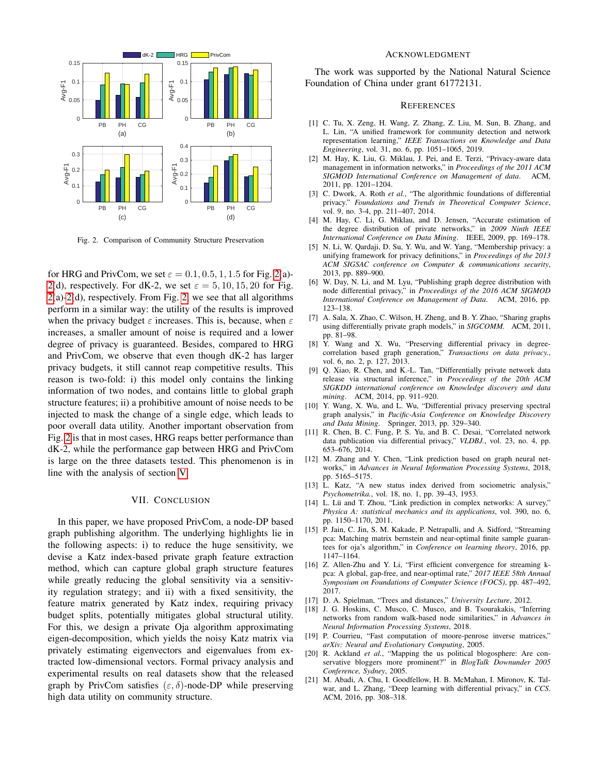

<span id="page-5-21"></span>Fig. 2. Comparison of Community Structure Preservation

for HRG and PrivCom, we set  $\varepsilon = 0.1, 0.5, 1, 1.5$  for Fig. [2\(](#page-5-21)a)-[2\(](#page-5-21)d), respectively. For dK-2, we set  $\varepsilon = 5, 10, 15, 20$  for Fig. [2\(](#page-5-21)a)[-2\(](#page-5-21)d), respectively. From Fig. [2,](#page-5-21) we see that all algorithms perform in a similar way: the utility of the results is improved when the privacy budget  $\varepsilon$  increases. This is, because, when  $\varepsilon$ increases, a smaller amount of noise is required and a lower degree of privacy is guaranteed. Besides, compared to HRG and PrivCom, we observe that even though dK-2 has larger privacy budgets, it still cannot reap competitive results. This reason is two-fold: i) this model only contains the linking information of two nodes, and contains little to global graph structure features; ii) a prohibitive amount of noise needs to be injected to mask the change of a single edge, which leads to poor overall data utility. Another important observation from Fig. [2](#page-5-21) is that in most cases, HRG reaps better performance than dK-2, while the performance gap between HRG and PrivCom is large on the three datasets tested. This phenomenon is in line with the analysis of section [V.](#page-2-4)

#### VII. CONCLUSION

In this paper, we have proposed PrivCom, a node-DP based graph publishing algorithm. The underlying highlights lie in the following aspects: i) to reduce the huge sensitivity, we devise a Katz index-based private graph feature extraction method, which can capture global graph structure features while greatly reducing the global sensitivity via a sensitivity regulation strategy; and ii) with a fixed sensitivity, the feature matrix generated by Katz index, requiring privacy budget splits, potentially mitigates global structural utility. For this, we design a private Oja algorithm approximating eigen-decomposition, which yields the noisy Katz matrix via privately estimating eigenvectors and eigenvalues from extracted low-dimensional vectors. Formal privacy analysis and experimental results on real datasets show that the released graph by PrivCom satisfies  $(\varepsilon, \delta)$ -node-DP while preserving high data utility on community structure.

#### ACKNOWLEDGMENT

The work was supported by the National Natural Science Foundation of China under grant 61772131.

#### **REFERENCES**

- <span id="page-5-0"></span>[1] C. Tu, X. Zeng, H. Wang, Z. Zhang, Z. Liu, M. Sun, B. Zhang, and L. Lin, "A unified framework for community detection and network representation learning," *IEEE Transactions on Knowledge and Data Engineering*, vol. 31, no. 6, pp. 1051–1065, 2019.
- <span id="page-5-1"></span>[2] M. Hay, K. Liu, G. Miklau, J. Pei, and E. Terzi, "Privacy-aware data management in information networks," in *Proceedings of the 2011 ACM SIGMOD International Conference on Management of data*. ACM, 2011, pp. 1201–1204.
- <span id="page-5-2"></span>[3] C. Dwork, A. Roth *et al.*, "The algorithmic foundations of differential privacy." *Foundations and Trends in Theoretical Computer Science*, vol. 9, no. 3-4, pp. 211–407, 2014.
- <span id="page-5-3"></span>[4] M. Hay, C. Li, G. Miklau, and D. Jensen, "Accurate estimation of the degree distribution of private networks," in *2009 Ninth IEEE International Conference on Data Mining*. IEEE, 2009, pp. 169–178.
- <span id="page-5-4"></span>[5] N. Li, W. Qardaji, D. Su, Y. Wu, and W. Yang, "Membership privacy: a unifying framework for privacy definitions," in *Proceedings of the 2013 ACM SIGSAC conference on Computer & communications security*, 2013, pp. 889–900.
- <span id="page-5-5"></span>[6] W. Day, N. Li, and M. Lyu, "Publishing graph degree distribution with node differential privacy," in *Proceedings of the 2016 ACM SIGMOD International Conference on Management of Data*. ACM, 2016, pp. 123–138.
- <span id="page-5-6"></span>[7] A. Sala, X. Zhao, C. Wilson, H. Zheng, and B. Y. Zhao, "Sharing graphs using differentially private graph models," in *SIGCOMM.* ACM, 2011, pp. 81–98.
- <span id="page-5-7"></span>[8] Y. Wang and X. Wu, "Preserving differential privacy in degreecorrelation based graph generation," *Transactions on data privacy.*, vol. 6, no. 2, p. 127, 2013.
- <span id="page-5-8"></span>[9] Q. Xiao, R. Chen, and K.-L. Tan, "Differentially private network data release via structural inference," in *Proceedings of the 20th ACM SIGKDD international conference on Knowledge discovery and data mining*. ACM, 2014, pp. 911–920.
- <span id="page-5-9"></span>[10] Y. Wang, X. Wu, and L. Wu, "Differential privacy preserving spectral graph analysis," in *Pacific-Asia Conference on Knowledge Discovery and Data Mining*. Springer, 2013, pp. 329–340.
- <span id="page-5-10"></span>[11] R. Chen, B. C. Fung, P. S. Yu, and B. C. Desai, "Correlated network data publication via differential privacy," *VLDBJ.*, vol. 23, no. 4, pp. 653–676, 2014.
- <span id="page-5-11"></span>[12] M. Zhang and Y. Chen, "Link prediction based on graph neural networks," in *Advances in Neural Information Processing Systems*, 2018, pp. 5165–5175.
- <span id="page-5-12"></span>[13] L. Katz, "A new status index derived from sociometric analysis," *Psychometrika.*, vol. 18, no. 1, pp. 39–43, 1953.
- <span id="page-5-13"></span>[14] L. Lü and T. Zhou, "Link prediction in complex networks: A survey," *Physica A: statistical mechanics and its applications*, vol. 390, no. 6, pp. 1150–1170, 2011.
- <span id="page-5-14"></span>[15] P. Jain, C. Jin, S. M. Kakade, P. Netrapalli, and A. Sidford, "Streaming pca: Matching matrix bernstein and near-optimal finite sample guarantees for oja's algorithm," in *Conference on learning theory*, 2016, pp. 1147–1164.
- <span id="page-5-15"></span>[16] Z. Allen-Zhu and Y. Li, "First efficient convergence for streaming kpca: A global, gap-free, and near-optimal rate," *2017 IEEE 58th Annual Symposium on Foundations of Computer Science (FOCS)*, pp. 487–492, 2017.
- <span id="page-5-16"></span>[17] D. A. Spielman, "Trees and distances," *University Lecture*, 2012.
- <span id="page-5-17"></span>[18] J. G. Hoskins, C. Musco, C. Musco, and B. Tsourakakis, "Inferring networks from random walk-based node similarities," in *Advances in Neural Information Processing Systems*, 2018.
- <span id="page-5-18"></span>[19] P. Courrieu, "Fast computation of moore-penrose inverse matrices," *arXiv: Neural and Evolutionary Computing*, 2005.
- <span id="page-5-19"></span>[20] R. Ackland *et al.*, "Mapping the us political blogosphere: Are conservative bloggers more prominent?" in *BlogTalk Downunder 2005 Conference, Sydney*, 2005.
- <span id="page-5-20"></span>[21] M. Abadi, A. Chu, I. Goodfellow, H. B. McMahan, I. Mironov, K. Talwar, and L. Zhang, "Deep learning with differential privacy," in *CCS*. ACM, 2016, pp. 308–318.